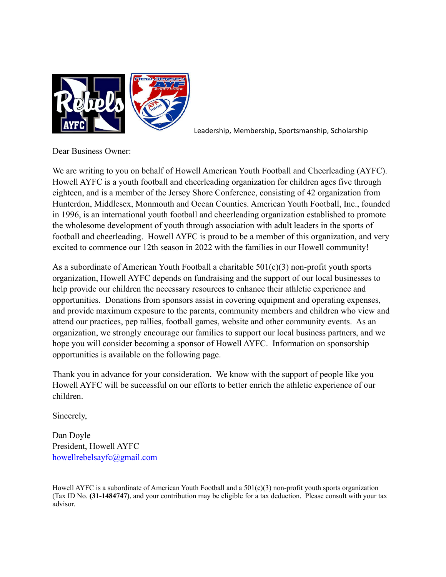

Leadership, Membership, Sportsmanship, Scholarship

Dear Business Owner:

We are writing to you on behalf of Howell American Youth Football and Cheerleading (AYFC). Howell AYFC is a youth football and cheerleading organization for children ages five through eighteen, and is a member of the Jersey Shore Conference, consisting of 42 organization from Hunterdon, Middlesex, Monmouth and Ocean Counties. American Youth Football, Inc., founded in 1996, is an international youth football and cheerleading organization established to promote the wholesome development of youth through association with adult leaders in the sports of football and cheerleading. Howell AYFC is proud to be a member of this organization, and very excited to commence our 12th season in 2022 with the families in our Howell community!

As a subordinate of American Youth Football a charitable  $501(c)(3)$  non-profit youth sports organization, Howell AYFC depends on fundraising and the support of our local businesses to help provide our children the necessary resources to enhance their athletic experience and opportunities. Donations from sponsors assist in covering equipment and operating expenses, and provide maximum exposure to the parents, community members and children who view and attend our practices, pep rallies, football games, website and other community events. As an organization, we strongly encourage our families to support our local business partners, and we hope you will consider becoming a sponsor of Howell AYFC. Information on sponsorship opportunities is available on the following page.

Thank you in advance for your consideration. We know with the support of people like you Howell AYFC will be successful on our efforts to better enrich the athletic experience of our children.

Sincerely,

Dan Doyle President, Howell AYFC [howellrebelsayfc@gmail.com](mailto:howellrebelsayfc@gmail.com)

Howell AYFC is a subordinate of American Youth Football and a 501(c)(3) non-profit youth sports organization (Tax ID No. **(31-1484747)**, and your contribution may be eligible for a tax deduction. Please consult with your tax advisor.